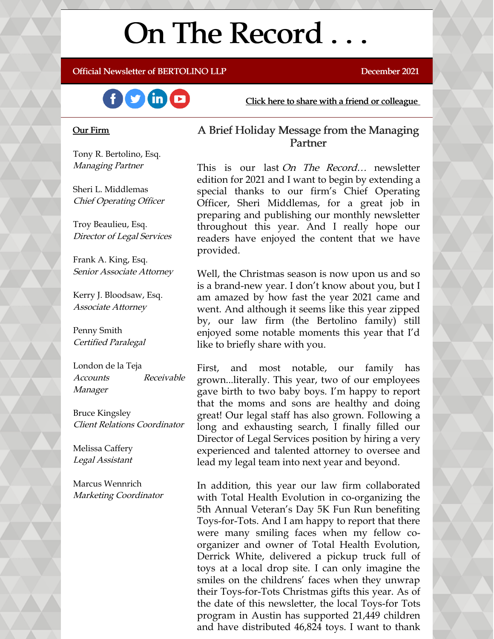# On The Record . . .

Official Newsletter of BERTOLINO LLP December 2021



Click here to share with a friend or [colleague](https://visitor.r20.constantcontact.com/manage/optin?v=001xvcZBIZGArRYZxP_ENhTFsnPqgcrAHF_8FAGh0C6OoU_TYzgqPeo9kiI5F5Vb-xdZP7jClYZWX2ttQp6Q7JygJ1sq0DH9MDHJwjzNoREDc4=)

#### Our Firm

Tony R. Bertolino, Esq. Managing Partner

Sheri L. Middlemas Chief Operating Officer

Troy Beaulieu, Esq. Director of Legal Services

Frank A. King, Esq. Senior Associate Attorney

Kerry J. Bloodsaw, Esq. Associate Attorney

Penny Smith Certified Paralegal

London de la Teja Accounts Receivable Manager

Bruce Kingsley Client Relations Coordinator

Melissa Caffery Legal Assistant

Marcus Wennrich Marketing Coordinator

### A Brief Holiday Message from the Managing Partner

This is our last On The Record... newsletter edition for 2021 and I want to begin by extending a special thanks to our firm's Chief Operating Officer, Sheri Middlemas, for a great job in preparing and publishing our monthly newsletter throughout this year. And I really hope our readers have enjoyed the content that we have provided.

Well, the Christmas season is now upon us and so is a brand-new year. I don't know about you, but I am amazed by how fast the year 2021 came and went. And although it seems like this year zipped by, our law firm (the Bertolino family) still enjoyed some notable moments this year that I'd like to briefly share with you.

First, and most notable, our family has grown...literally. This year, two of our employees gave birth to two baby boys. I'm happy to report that the moms and sons are healthy and doing great! Our legal staff has also grown. Following a long and exhausting search, I finally filled our Director of Legal Services position by hiring a very experienced and talented attorney to oversee and lead my legal team into next year and beyond.

In addition, this year our law firm collaborated with Total Health Evolution in co-organizing the 5th Annual Veteran's Day 5K Fun Run benefiting Toys-for-Tots. And I am happy to report that there were many smiling faces when my fellow coorganizer and owner of Total Health Evolution, Derrick White, delivered a pickup truck full of toys at a local drop site. I can only imagine the smiles on the childrens' faces when they unwrap their Toys-for-Tots Christmas gifts this year. As of the date of this newsletter, the local Toys-for Tots program in Austin has supported 21,449 children and have distributed 46,824 toys. I want to thank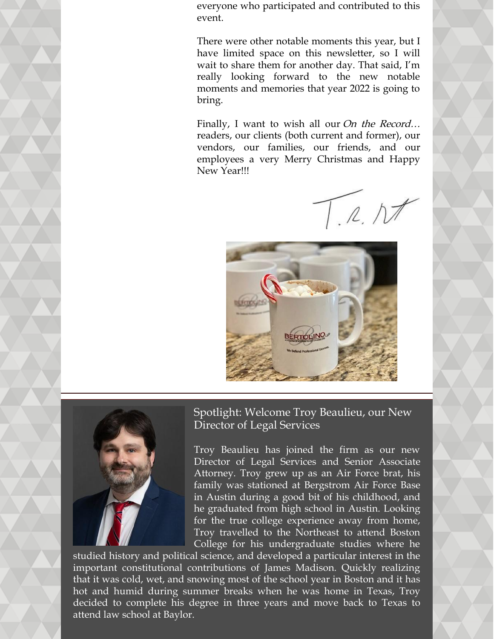everyone who participated and contributed to this event.

There were other notable moments this year, but I have limited space on this newsletter, so I will wait to share them for another day. That said, I'm really looking forward to the new notable moments and memories that year 2022 is going to bring.

Finally, I want to wish all our On the Record... readers, our clients (both current and former), our vendors, our families, our friends, and our employees a very Merry Christmas and Happy New Year!!!

 $T.R.NI$ 





Spotlight: Welcome Troy Beaulieu, our New Director of Legal Services

Troy Beaulieu has joined the firm as our new Director of Legal Services and Senior Associate Attorney. Troy grew up as an Air Force brat, his family was stationed at Bergstrom Air Force Base in Austin during a good bit of his childhood, and he graduated from high school in Austin. Looking for the true college experience away from home, Troy travelled to the Northeast to attend Boston College for his undergraduate studies where he

studied history and political science, and developed a particular interest in the important constitutional contributions of James Madison. Quickly realizing that it was cold, wet, and snowing most of the school year in Boston and it has hot and humid during summer breaks when he was home in Texas, Troy decided to complete his degree in three years and move back to Texas to attend law school at Baylor.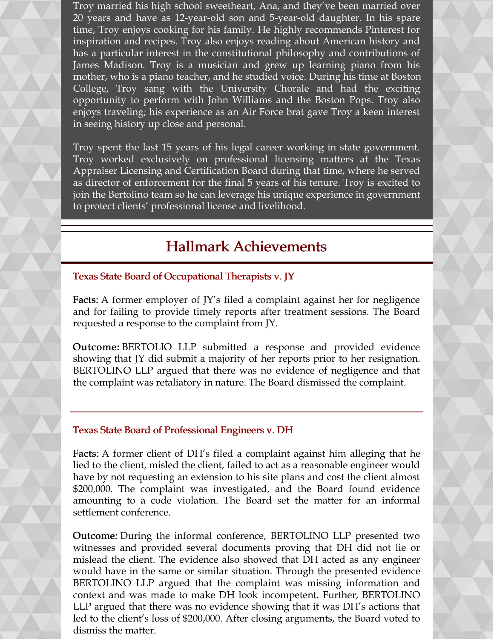Troy married his high school sweetheart, Ana, and they've been married over 20 years and have as 12-year-old son and 5-year-old daughter. In his spare time, Troy enjoys cooking for his family. He highly recommends Pinterest for inspiration and recipes. Troy also enjoys reading about American history and has a particular interest in the constitutional philosophy and contributions of James Madison. Troy is a musician and grew up learning piano from his mother, who is a piano teacher, and he studied voice. During his time at Boston College, Troy sang with the University Chorale and had the exciting opportunity to perform with John Williams and the Boston Pops. Troy also enjoys traveling; his experience as an Air Force brat gave Troy a keen interest in seeing history up close and personal.

Troy spent the last 15 years of his legal career working in state government. Troy worked exclusively on professional licensing matters at the Texas Appraiser Licensing and Certification Board during that time, where he served as director of enforcement for the final 5 years of his tenure. Troy is excited to join the Bertolino team so he can leverage his unique experience in government to protect clients' professional license and livelihood.

# Hallmark Achievements

Texas State Board of Occupational Therapists v. JY

Facts: A former employer of JY's filed a complaint against her for negligence and for failing to provide timely reports after treatment sessions. The Board requested a response to the complaint from JY.

Outcome: BERTOLIO LLP submitted a response and provided evidence showing that JY did submit a majority of her reports prior to her resignation. BERTOLINO LLP argued that there was no evidence of negligence and that the complaint was retaliatory in nature. The Board dismissed the complaint.

## Texas State Board of Professional Engineers v. DH

Facts: A former client of DH's filed a complaint against him alleging that he lied to the client, misled the client, failed to act as a reasonable engineer would have by not requesting an extension to his site plans and cost the client almost \$200,000. The complaint was investigated, and the Board found evidence amounting to a code violation. The Board set the matter for an informal settlement conference.

Outcome: During the informal conference, BERTOLINO LLP presented two witnesses and provided several documents proving that DH did not lie or mislead the client. The evidence also showed that DH acted as any engineer would have in the same or similar situation. Through the presented evidence BERTOLINO LLP argued that the complaint was missing information and context and was made to make DH look incompetent. Further, BERTOLINO LLP argued that there was no evidence showing that it was DH's actions that led to the client's loss of \$200,000. After closing arguments, the Board voted to dismiss the matter.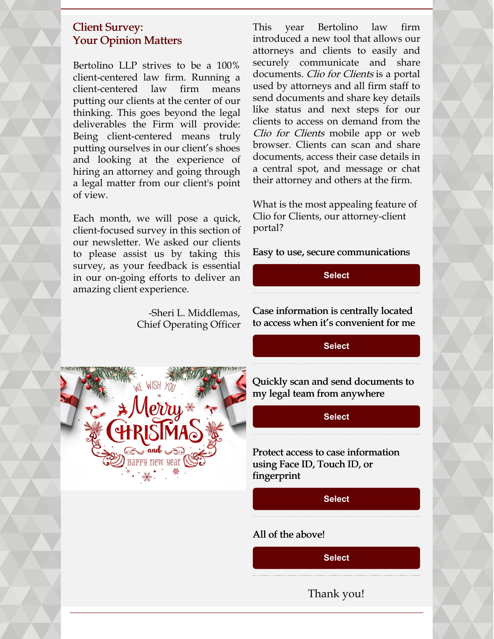## Client Survey: Your Opinion Matters

Bertolino LLP strives to be a 100% client-centered law firm. Running a client-centered law firm means putting our clients at the center of our thinking. This goes beyond the legal deliverables the Firm will provide: Being client-centered means truly putting ourselves in our client's shoes and looking at the experience of hiring an attorney and going through a legal matter from our client's point of view.

Each month, we will pose a quick, client-focused survey in this section of our newsletter. We asked our clients to please assist us by taking this survey, as your feedback is essential in our on-going efforts to deliver an amazing client experience.

> -Sheri L. Middlemas, Chief Operating Officer



This year Bertolino law firm introduced a new tool that allows our attorneys and clients to easily and securely communicate and share documents. Clio for Clients is a portal used by attorneys and all firm staff to send documents and share key details like status and next steps for our clients to access on demand from the Clio for Clients mobile app or web browser. Clients can scan and share documents, access their case details in a central spot, and message or chat their attorney and others at the firm.

What is the most appealing feature of Clio for Clients, our attorney-client portal?

Easy to use, secure communications

#### **[Select](https://campaignlp.constantcontact.com/forms/response?id=8MTVuLZxdx2tqY6ViR4pGQ2t9mHnmSeJJD3FVDetRWMp1x7mAvNUOMVtZQf1YOs8C2X_uAfS2h8YL3yynnjFqDW6OAMSdhvDA57TW5bzrixYUubJB4nk5PdU5S9b3Ad4Xd6DstE_VVjvtWexxTwELYi-yF6mNGUzQa66NinnXig5BCbnpFnXn4cboheFVJL_uzWk_BooTyXFYMefTsr-aw&encVer=1&c=&ch=)**

Case information is centrally located to access when it's convenient for me

#### **[Select](https://campaignlp.constantcontact.com/forms/response?id=8MTVuLZxdx2tqY6ViR4pGQ2t9mHnmSeJJD3FVDetRWMp1x7mAvNUOMVtZQf1YOs8C2X_uAfS2h8YL3yynnjFqDW6OAMSdhvDA57TW5bzrixYUubJB4nk5PdU5S9b3Ad4Xd6DstE_VVjvtWexxTwELYi-yF6mNGUzQa66NinnXig5BCbnpFnXn4cboheFVJL_uzWk_BooTyXXN6S9LkQxSg&encVer=1&c=&ch=)**

Quickly scan and send documents to my legal team from anywhere

**[Select](https://campaignlp.constantcontact.com/forms/response?id=8MTVuLZxdx2tqY6ViR4pGQ2t9mHnmSeJJD3FVDetRWMp1x7mAvNUOMVtZQf1YOs8C2X_uAfS2h8YL3yynnjFqDW6OAMSdhvDA57TW5bzrixYUubJB4nk5PdU5S9b3Ad4Xd6DstE_VVjvtWexxTwELYi-yF6mNGUzQa66NinnXig5BCbnpFnXn4cboheFVJL_uzWk_BooTyWrUSvPlZJhEA&encVer=1&c=&ch=)**

Protect access to case information using Face ID, Touch ID, or fingerprint

**[Select](https://campaignlp.constantcontact.com/forms/response?id=8MTVuLZxdx2tqY6ViR4pGQ2t9mHnmSeJJD3FVDetRWMp1x7mAvNUOMVtZQf1YOs8C2X_uAfS2h8YL3yynnjFqDW6OAMSdhvDA57TW5bzrixYUubJB4nk5PdU5S9b3Ad4Xd6DstE_VVjvtWexxTwELYi-yF6mNGUzQa66NinnXig5BCbnpFnXn4cboheFVJL_uzWk_BooTyUTQGQFfhqn8g&encVer=1&c=&ch=)**

#### All of the above!

**[Select](https://campaignlp.constantcontact.com/forms/response?id=8MTVuLZxdx2tqY6ViR4pGQ2t9mHnmSeJJD3FVDetRWMp1x7mAvNUOMVtZQf1YOs8C2X_uAfS2h8YL3yynnjFqDW6OAMSdhvDA57TW5bzrixYUubJB4nk5PdU5S9b3Ad4Xd6DstE_VVjvtWexxTwELYi-yF6mNGUzQa66NinnXig5BCbnpFnXn4cboheFVJL_uzWk_BooTyUNDmn2vKR8GQ&encVer=1&c=&ch=)**

Thank you!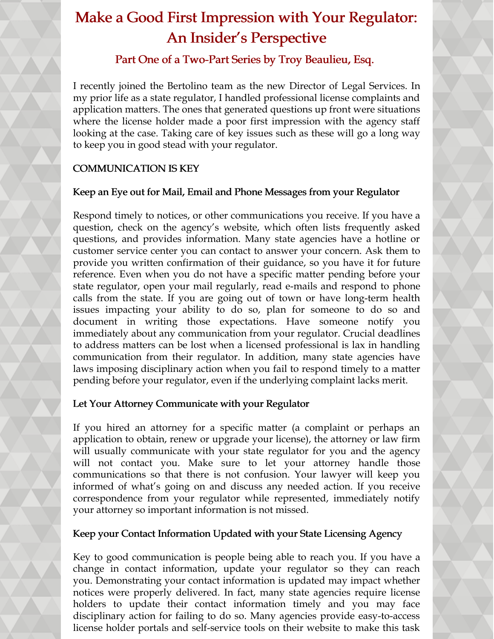# Make a Good First Impression with Your Regulator: An Insider's Perspective

# Part One of a Two-Part Series by Troy Beaulieu, Esq.

I recently joined the Bertolino team as the new Director of Legal Services. In my prior life as a state regulator, I handled professional license complaints and application matters. The ones that generated questions up front were situations where the license holder made a poor first impression with the agency staff looking at the case. Taking care of key issues such as these will go a long way to keep you in good stead with your regulator.

# COMMUNICATION IS KEY

# Keep an Eye out for Mail, Email and Phone Messages from your Regulator

Respond timely to notices, or other communications you receive. If you have a question, check on the agency's website, which often lists frequently asked questions, and provides information. Many state agencies have a hotline or customer service center you can contact to answer your concern. Ask them to provide you written confirmation of their guidance, so you have it for future reference. Even when you do not have a specific matter pending before your state regulator, open your mail regularly, read e-mails and respond to phone calls from the state. If you are going out of town or have long-term health issues impacting your ability to do so, plan for someone to do so and document in writing those expectations. Have someone notify you immediately about any communication from your regulator. Crucial deadlines to address matters can be lost when a licensed professional is lax in handling communication from their regulator. In addition, many state agencies have laws imposing disciplinary action when you fail to respond timely to a matter pending before your regulator, even if the underlying complaint lacks merit.

# Let Your Attorney Communicate with your Regulator

If you hired an attorney for a specific matter (a complaint or perhaps an application to obtain, renew or upgrade your license), the attorney or law firm will usually communicate with your state regulator for you and the agency will not contact you. Make sure to let your attorney handle those communications so that there is not confusion. Your lawyer will keep you informed of what's going on and discuss any needed action. If you receive correspondence from your regulator while represented, immediately notify your attorney so important information is not missed.

# Keep your Contact Information Updated with your State Licensing Agency

Key to good communication is people being able to reach you. If you have a change in contact information, update your regulator so they can reach you. Demonstrating your contact information is updated may impact whether notices were properly delivered. In fact, many state agencies require license holders to update their contact information timely and you may face disciplinary action for failing to do so. Many agencies provide easy-to-access license holder portals and self-service tools on their website to make this task